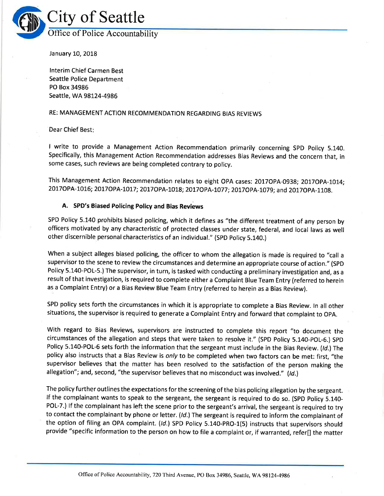

January 10, 2018

lnterim Chief Carmen Best Seattle Police Department PO Box 34986 Seattle, WA 98124-4986

# RE: MANAGEMENT ACTION RECOMMENDATION REGARDING BIAS REVIEWS

Dear Chief Best

I write to provide a Management Action Recommendation primarily concerning SPD Policy 5.140. Specifically, this Management Action Recommendation addresses Bias Reviews and the concern that, in some cases, such reviews are being completed contrary to policy.

This Management Action Recommendation relates to eight OPA cases: 2017OPA-0938; 2017OPA-1014; 2017OPA-1016; 2017OPA-1017; 2017OPA-1018; 2017OPA-1077; 2017OPA-1079; and 2017OPA-1108.

# A. SPD's Biased Policing Policy and Bias Reviews

SPD Policy 5.140 prohibits biased policing, which it defines as "the different treatment of any person by officers motivated by any characteristic of protected classes under state, federal, and local laws as well other discernible personal characteristics of an individual." (spD policy 5.140.)

When a subject alleges biased policing, the officer to whom the allegation is made is required to "call <sup>a</sup> supervisor to the scene to review the circumstances and determine an appropriate course of action." (SpD Policy 5.140-POL-5.) The supervisor, in turn, is tasked with conducting a preliminary investigation and, as <sup>a</sup> result of that investigation, is required to complete either a Complaint Blue Team Entry (referred to herein as a Complaint Entry) or a Bias Review Blue Team Entry (referred to herein as a Bias Review).

SPD policy sets forth the circumstances in which it is appropriate to complete a Bias Review. ln all other situations, the supervisor is required to generate a Complaint Entry and forward that complaint to OpA.

With regard to Bias Reviews, supervisors are instructed to complete this report "to document the circumstances of the allegation and steps that were taken to resolve it." (SpD policy 5.140-pOL-6.) SpD Policy 5.140-POL-6 sets forth the information that the sergeant must include in the Bias Review. (Id.) The policy also instructs that a Bias Review is only to be completed when two factors can be met: first, "the supervisor believes that the matter has been resolved to the satisfaction of the person making the allegation"; and, second, "the supervisor believes that no misconduct was involved." (Id.)

The policy further outlines the expectations for the screening of the bias policing allegation by the sergeant. lf the complainant wants to speak to the sergeant, the sergeant is required to do so. (SpD policy 5.140- POL-7.) If the complainant has left the scene prior to the sergeant's arrival, the sergeant is required to try to contact the complainant by phone or letter. (Id.) The sergeant is required to inform the complainant of the option of filing an OPA complaint. (Id.) SPD Policy 5.140-PRO-1(5) instructs that supervisors should provide "specific information to the person on how to file a complaint or, if warranted, refer[] the matter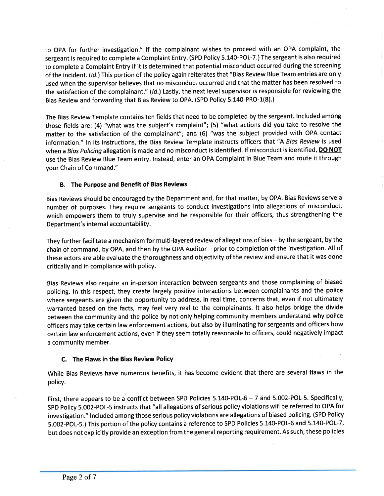to OPA for further investigation." lf the complainant wishes to proceed with an OPA complaint, the sergeant is required to complete a Complaint Entry. (SPD Policy 5.140-POL-7.) The sergeant is also required to complete a Complaint Entry if it is determined that potential misconduct occurred during the screening of the incident. (Id.) This portion of the policy again reiterates that "Bias Review Blue Team entries are only used when the supervisor believes that no misconduct occurred and that the matter has been resolved to the satisfaction of the complainant." (/d.) Lastly, the next level supervisor is responsible for reviewing the Bias Review and forwarding that Bias Review to OPA. (SPD Policy 5.140-PRO-1(8).)

The Bias Review Template contains ten fields that need to be completed by the sergeant. lncluded among those fields are: (4) "what was the subject's complaint"; (5) "what actions did you take to resolve the matter to the satisfaction of the complainant"; and (6) "was the subject provided with OPA contact information." ln its instructions, the Bias Review Template instructs officers that "A Bias Review is used when a Bias Policing allegation is made and no misconduct is identified. If misconduct is identified, DO NOT use the Bias Review Blue Team entry. lnstead, enter an OPA Complaint in Blue Team and route it through your Chain of Command."

# B. The Purpose and Benefit of Bias Reviews

Bias Reviews should be encouraged by the Department and, for that matter, by OPA. Bias Reviews serve <sup>a</sup> number of purposes. They require sergeants to conduct investigations into allegations of misconduct, which empowers them to truly supervise and be responsible for their officers, thus strengthening the Department's internal accountability.

They further facilitate a mechanism for multi-layered review of allegations of bias - by the sergeant, by the chain of command, by OPA, and then by the OPA Auditor - prior to completion of the investigation. All of these actors are able evaluate the thoroughness and objectivity of the review and ensure that it was done critically and in compliance with policy.

Bias Reviews also require an in-person interaction between sergeants and those complaining of biased policing. ln this respect, they create largely positive interactions between complainants and the police where sergeants are given the opportunity to address, in real time, concerns that, even if not ultimately warranted based on the facts, may feel very real to the complainants. lt also helps bridge the divide between the community and the police by not only helping community members understand why police officers may take certain law enforcement actions, but also by illuminating for sergeants and officers how certain law enforcement actions, even if they seem totally reasonable to officers, could negatively impact a community member.

# C. The Flaws in the Bias Review Policy

While Bias Reviews have numerous benefits, it has become evident that there are several flaws in the policy.

First, there appears to be a conflict between SPD Policies 5.140-POL-6 - 7 and 5.002-POL-5. Specifically, SPD Policy 5.002-POL-5 instructs that "all allegations of serious policy violations will be referred to OPA for investigation." lncluded among those serious policy violations are allegations of biased policing. (SPD Policy 5.002-POL-5.) This portion of the policy contains a reference to SPD Policies 5.140-POL-6 and 5.140-POL-7, but does not explicitly provide an exception from the general reporting requirement. As such, these policies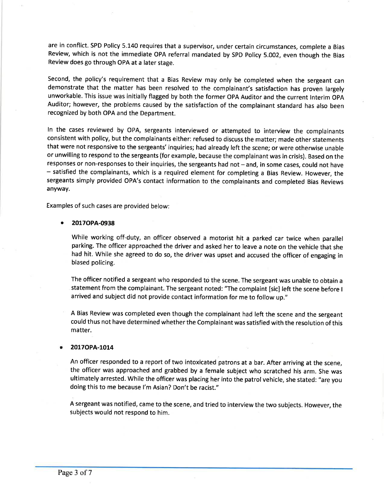are in conflict. SPD Policy 5.140 requires that a supervisor, under certain circumstances, complete a Bias Review, which is not the immediate OPA referral mandated by SPD Policy 5.002, even though the Bias Review does go through OPA at a later stage.

Second, the policy's requirement that a Bias Review may only be completed when the sergeant can demonstrate that the matter has been resolved to the complainant's satisfaction has proven largely unworkable. This issue was initially flagged by both the former OPA Auditor and the current lnterim OpA Auditor; however, the problems caused by the satisfaction of the complainant standard has also been recognized by both OPA and the Department.

ln the cases reviewed by OPA, sergeants interviewed or attempted to interview the complainants consistent with policy, but the complainants either: refused to discuss the matter; made other statements that were not responsive to the sergeants' inquiries; had already left the scene; or were otherwise unable or unwilling to respond to the sergeants (for example, because the complainant was in crisis). Based on the responses or non-responses to their inquiries, the sergeants had not - and, in some cases, could not have - satisfied the complainants, which is a required element for completing a Bias Review. However, the sergeants simply provided OPA's contact information to the complainants and completed Bias Reviews anyway.

Examples of such cases are provided below:

### a 20170PA-0938

While working off-duty, an officer observed a motorist hit a parked car twice when parallel parking. The officer approached the driver and asked her to leave a note on the vehicle that she had hit. While she agreed to do so, the driver was upset and accused the officer of engaging in biased policing.

The officer notified a sergeant who responded to the scene. The sergeant was unable to obtain <sup>a</sup> statement from the complainant. The sergeant noted: "The complaint [sic] left the scene before <sup>I</sup> arrived and subject did not provide contact information for me to follow up."

A Bias Review was completed even though the complainant had left the scene and the sergeant could thus not have determined whether the Complainant was satisfied with the resolution of this matter.

### 2017OPA-1014

An officer responded to a report of two intoxicated patrons at a bar. After arriving at the scene, the officer was approached and grabbed by a female subject who scratched his arm. She was ultimately arrested. While the officer was placing her into the patrol vehicle, she stated: "are you doing this to me because l'm Asian? Don't be racist."

A sergeant was notified, came to the scene, and tried to interview the two subjects. However, the subjects would not respond to him.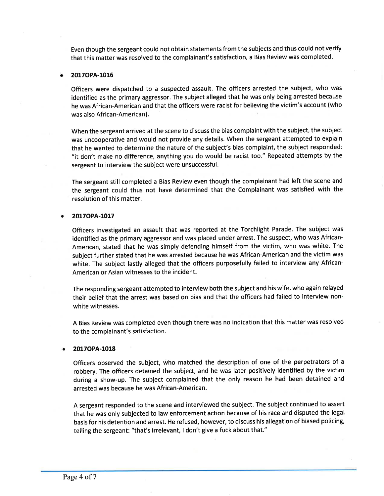Even though the sergeant could not obtain statements from the subjects and thus could not verify that this matter was resolved to the complainant's satisfaction, a Bias Review was completed.

### a 20170PA-1016

Officers were dispatched to a suspected assault. The officers arrested the subject, who was identified as the primary aggressor. The subject alleged that he was only being arrested because he was African-American and that the officers were racist for believing the victim's account (who was also African-American).

When the sergeant arrived at the scene to discuss the bias complaint with the subject, the subject was uncooperative and would not provide any details. When the sergeant attempted to explain that he wanted to determine the nature of the subject's bias complalnt, the subject responded: "it don't make no difference, anything you do would be racist too." Repeated attempts by the sergeant to interview the subject were unsuccessful.

The sergeant still completed a Bias Review even though the complainant had left the scene and the sergeant could thus not have determined that the Complainant was satisfied with the resolution of this matter.

#### 2017OPA-1017 a

Officers investigated an assault that was reported at the Torchlight Parade. The subject was identified as the primary aggressor and was placed under arrest. The suspect, who was African-American, stated that he was simply defending himself from the victim, who was white. The subject further stated that he was arrested because he was African-American and the victim was white. The subject lastly alleged that the officers purposefully failed to interview any African-American or Asian witnesses to the incident.

The responding sergeant attempted to interview both the subject and his wife, who again relayed their belief that the arrest was based on bias and that the officers had failed to interview nonwhite witnesses.

A Bias Review was completed even though there was no indication that this matter was resolved to the complainant's satisfaction.

#### a 20170PA-1018

Officers observed the subject, who matched the description of one of the perpetrators of <sup>a</sup> robbery. The officers detained the subject, and he was later positively identified by the victim during a show-up. The subject complained that the only reason he had been detained and arrested was because he was African-American.

A sergeant responded to the scene and interviewed the subject. The subject continued to assert that he was only subjected to law enforcement action because of his race and disputed the legal basis for his detention and arrest. He refused, however, to discuss his allegation of biased policing, telling the sergeant: "that's irrelevant, I don't give a fuck about that."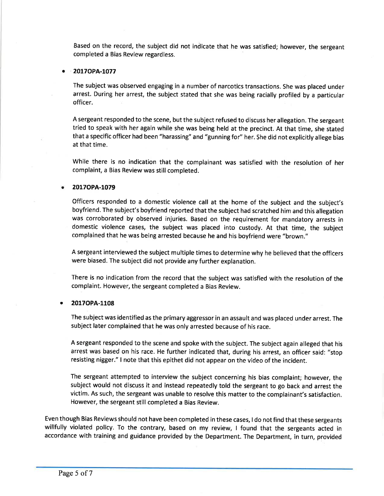Based on the record, the subject did not indicate that he was satisfied; however, the sergeant completed a Bias Review regardless.

### 2017OPA-1077

The subject was observed engaging in a number of narcotics transactions. She was placed under arrest. During her arrest, the subject stated that she was being racially profiled by a particular officer.

A sergeant responded to the scene, but the subject refused to discuss her allegation. The sergeant tried to speak with her again while she was being held at the precinct. At that time, she stated that a specific officer had been "harassing" and "gunning for" her. She did not explicitly allege bias at that time.

While there is no indication that the complainant was satisfied with the resolution of her complaint, a Bias Review was still completed.

### 2017OPA-1079

Officers responded to a domestic violence call at the home of the subject and the subject's boyfriend. The subject's boyfriend reported that the subject had scratched him and this allegation was corroborated by observed injuries. Based on the requirement for mandatory arrests in domestic violence cases, the subject was placed into custody. At that time, the subject complained that he was being arrested because he and his boyfriend were "brown."

A sergeant interviewed the subject multiple times to determine why he believed that the officers were biased. The subject did not provide any further explanation.

There is no indication from the record that the subject was satisfied with the resolution of the complaint. However, the sergeant completed a Bias Review.

# 2017OPA-1108

The subject was identified as the primary aggressor in an assault and was placed under arrest. The subject later complained that he was only arrested because of his race.

A sergeant responded to the scene and spoke with the subject. The subject again alleged that his arrest was based on his race. He further indicated that, during his arrest, an officer said: "stop resisting nigger." I note that this epithet did not appear on the video of the incident.

The sergeant attempted to interview the subject concerning his bias complaint; however, the subject would not discuss it and instead repeatedly told the sergeant to go back and arrest the victim. As such, the sergeant was unable to resolve this matter to the complainant's satisfaction. However, the sergeant still completed a Bias Review.

Even though Bias Reviews should not have been completed in these cases, I do not find that these sergeants willfully violated policy. To the contrary, based on my review, I found that the sergeants acted in accordance with training and guidance provided by the Department. The Department, in turn, provided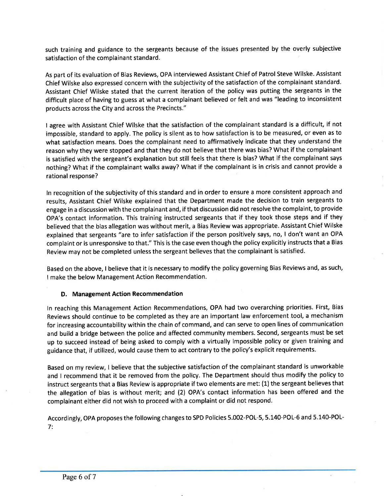such training and guidance to the sergeants because of the issues presented by the overly subjective satisfaction of the complainant standard.

As part of its evaluation of Bias Reviews, OPA interviewed Assistant Chief of Patrol Steve Wilske. Assistant Chief Wilske also expressed concern with the subjectivity of the satisfaction of the complainant standard. Assistant Chief Wilske stated that the current iteration of the policy was putting the sergeants in the difficult place of having to guess at what a complainant believed or felt and was "leading to inconsistent products across the City and across the Precincts."

I agree with Assistant Chief Wilske that the satisfaction of the complainant standard is a difficult, if not impossible, standard to apply. The policy is silent as to how satisfaction is to be measured, or even as to what satisfaction means. Does the complainant need to affirmatively indicate that they understand the reason why they were stopped and that they do not believe that there was bias? What if the complainant is satisfied with the sergeant's explanation but still feels that there is bias? What if the complainant says nothing? What if the complainant walks away? What if the complainant is in crisis and cannot provide <sup>a</sup> rational response?

ln recognition of the subjectivity of this standard and in order to ensure a more consistent approach and results, Assistant Chief Wilske explained that the Department made the decision to train sergeants to engage in a discussion with the complainant and, if that discussion did not resolve the complaint, to provide OPA's contact information. This training instructed sergeants that if they took those steps and if they believed that the bias allegation was without merit, a Bias Review was appropriate. Assistant Chief Wilske explained that sergeants "are to infer satisfaction if the person positively says, no, I don't want an OPA complaint or is unresponsive to that." This is the case even though the policy explicitly instructs that a Bias Review may not be completed unless the sergeant believes that the complainant is satisfied.

Based on the above, I believe that it is necessary to modify the policy governing Bias Reviews and, as such, I make the below Management Action Recommendation.

# D. Management Action Recommendation

ln reaching this Management Action Recommendations, OPA had two overarching priorities. First, Bias Reviews should continue to be completed as they are an important law enforcement tool, a mechanism for increasing accountability within the chain of command, and can serve to open lines of communication and build a bridge between the police and affected community members. Second, sergeants must be set up to succeed instead of being asked to comply with a virtually impossible policy or given training and guidance that, if utilized, would cause them to act contrary to the policy's explicit requirements.

Based on my review, I believe that the subjective satisfaction of the complainant standard is unworkable and I recommend that it be removed from the policy. The Department should thus modify the policy to instruct sergeants that a Bias Review is appropriate if two elements are met: (1) the sergeant believes that the allegation of bias is without merit; and (2) OPA's contact information has been offered and the complainant either did not wish to proceed with a complaint or did not respond.

Accordingly, OPA proposes the following changes to SPD Policies 5.002-POL-5, 5.140-POL-6 and 5.140-POL-7;